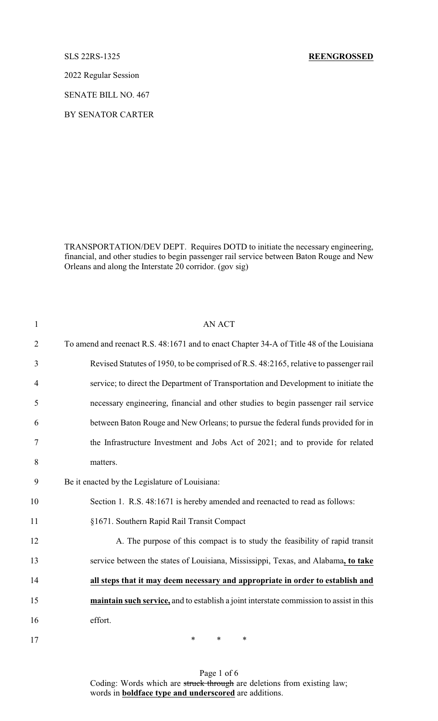2022 Regular Session

SENATE BILL NO. 467

BY SENATOR CARTER

TRANSPORTATION/DEV DEPT. Requires DOTD to initiate the necessary engineering, financial, and other studies to begin passenger rail service between Baton Rouge and New Orleans and along the Interstate 20 corridor. (gov sig)

| $\mathbf{1}$   | <b>AN ACT</b>                                                                            |
|----------------|------------------------------------------------------------------------------------------|
| $\overline{2}$ | To amend and reenact R.S. 48:1671 and to enact Chapter 34-A of Title 48 of the Louisiana |
| 3              | Revised Statutes of 1950, to be comprised of R.S. 48:2165, relative to passenger rail    |
| $\overline{4}$ | service; to direct the Department of Transportation and Development to initiate the      |
| 5              | necessary engineering, financial and other studies to begin passenger rail service       |
| 6              | between Baton Rouge and New Orleans; to pursue the federal funds provided for in         |
| 7              | the Infrastructure Investment and Jobs Act of 2021; and to provide for related           |
| 8              | matters.                                                                                 |
| 9              | Be it enacted by the Legislature of Louisiana:                                           |
| 10             | Section 1. R.S. 48:1671 is hereby amended and reenacted to read as follows:              |
| 11             | §1671. Southern Rapid Rail Transit Compact                                               |
| 12             | A. The purpose of this compact is to study the feasibility of rapid transit              |
| 13             | service between the states of Louisiana, Mississippi, Texas, and Alabama, to take        |
| 14             | all steps that it may deem necessary and appropriate in order to establish and           |
| 15             | maintain such service, and to establish a joint interstate commission to assist in this  |
| 16             | effort.                                                                                  |
| 17             | $\ast$<br>*<br>∗                                                                         |

Page 1 of 6 Coding: Words which are struck through are deletions from existing law; words in **boldface type and underscored** are additions.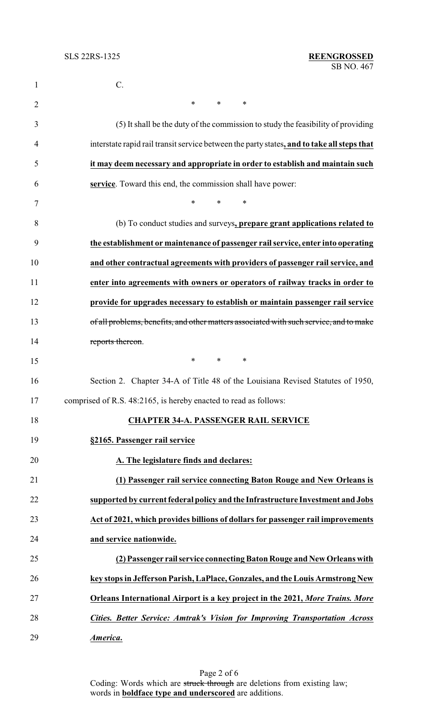| $\mathbf{1}$   | C.                                                                                         |
|----------------|--------------------------------------------------------------------------------------------|
| $\overline{2}$ | $\ast$<br>$\ast$<br>$\ast$                                                                 |
| 3              | (5) It shall be the duty of the commission to study the feasibility of providing           |
| 4              | interstate rapid rail transit service between the party states, and to take all steps that |
| 5              | it may deem necessary and appropriate in order to establish and maintain such              |
| 6              | service. Toward this end, the commission shall have power:                                 |
| 7              | *<br>$\ast$<br>$\ast$                                                                      |
| 8              | (b) To conduct studies and surveys, prepare grant applications related to                  |
| 9              | the establishment or maintenance of passenger rail service, enter into operating           |
| 10             | and other contractual agreements with providers of passenger rail service, and             |
| 11             | enter into agreements with owners or operators of railway tracks in order to               |
| 12             | provide for upgrades necessary to establish or maintain passenger rail service             |
| 13             | of all problems, benefits, and other matters associated with such service, and to make     |
| 14             | reports thereon.                                                                           |
| 15             | $\ast$<br>$\ast$<br>$\ast$                                                                 |
| 16             | Section 2. Chapter 34-A of Title 48 of the Louisiana Revised Statutes of 1950,             |
| 17             | comprised of R.S. 48:2165, is hereby enacted to read as follows:                           |
| 18             | <b>CHAPTER 34-A. PASSENGER RAIL SERVICE</b>                                                |
| 19             | §2165. Passenger rail service                                                              |
| 20             | A. The legislature finds and declares:                                                     |
| 21             | (1) Passenger rail service connecting Baton Rouge and New Orleans is                       |
| 22             | supported by current federal policy and the Infrastructure Investment and Jobs             |
| 23             | Act of 2021, which provides billions of dollars for passenger rail improvements            |
| 24             | and service nationwide.                                                                    |
| 25             | (2) Passenger rail service connecting Baton Rouge and New Orleans with                     |
| 26             | key stops in Jefferson Parish, LaPlace, Gonzales, and the Louis Armstrong New              |
| 27             | Orleans International Airport is a key project in the 2021, More Trains. More              |
| 28             | Cities. Better Service: Amtrak's Vision for Improving Transportation Across                |
| 29             | America.                                                                                   |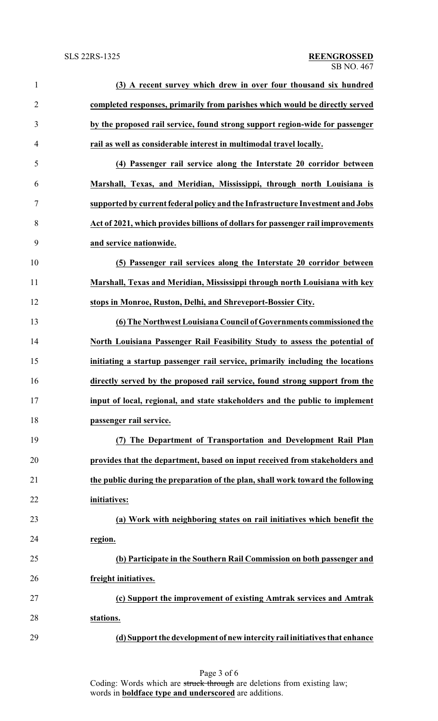| $\mathbf{1}$   | (3) A recent survey which drew in over four thousand six hundred                |
|----------------|---------------------------------------------------------------------------------|
| $\overline{2}$ | completed responses, primarily from parishes which would be directly served     |
| 3              | by the proposed rail service, found strong support region-wide for passenger    |
| $\overline{4}$ | rail as well as considerable interest in multimodal travel locally.             |
| 5              | (4) Passenger rail service along the Interstate 20 corridor between             |
| 6              | Marshall, Texas, and Meridian, Mississippi, through north Louisiana is          |
| 7              | supported by current federal policy and the Infrastructure Investment and Jobs  |
| 8              | Act of 2021, which provides billions of dollars for passenger rail improvements |
| 9              | and service nationwide.                                                         |
| 10             | (5) Passenger rail services along the Interstate 20 corridor between            |
| 11             | Marshall, Texas and Meridian, Mississippi through north Louisiana with key      |
| 12             | stops in Monroe, Ruston, Delhi, and Shreveport-Bossier City.                    |
| 13             | (6) The Northwest Louisiana Council of Governments commissioned the             |
| 14             | North Louisiana Passenger Rail Feasibility Study to assess the potential of     |
| 15             | initiating a startup passenger rail service, primarily including the locations  |
| 16             | directly served by the proposed rail service, found strong support from the     |
| 17             | input of local, regional, and state stakeholders and the public to implement    |
| 18             | passenger rail service.                                                         |
| 19             | (7) The Department of Transportation and Development Rail Plan                  |
| 20             | provides that the department, based on input received from stakeholders and     |
| 21             | the public during the preparation of the plan, shall work toward the following  |
| 22             | initiatives:                                                                    |
| 23             | (a) Work with neighboring states on rail initiatives which benefit the          |
| 24             | region.                                                                         |
| 25             | (b) Participate in the Southern Rail Commission on both passenger and           |
| 26             | freight initiatives.                                                            |
| 27             | (c) Support the improvement of existing Amtrak services and Amtrak              |
| 28             | stations.                                                                       |
| 29             | (d) Support the development of new intercity rail initiatives that enhance      |
|                |                                                                                 |

Page 3 of 6 Coding: Words which are struck through are deletions from existing law; words in **boldface type and underscored** are additions.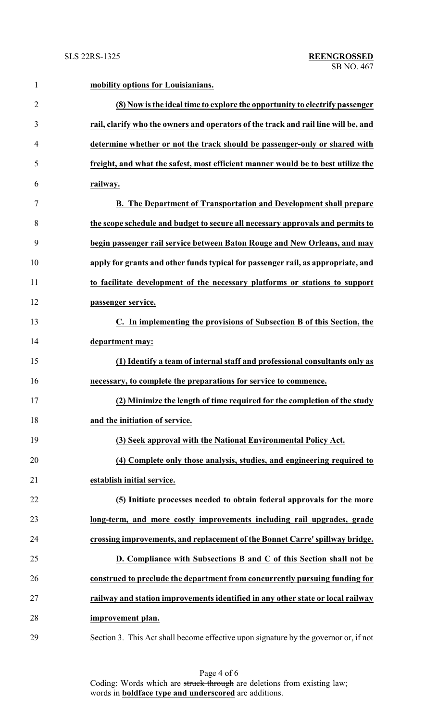| $\mathbf{1}$   | mobility options for Louisianians.                                                   |
|----------------|--------------------------------------------------------------------------------------|
| $\overline{2}$ | (8) Now is the ideal time to explore the opportunity to electrify passenger          |
| 3              | rail, clarify who the owners and operators of the track and rail line will be, and   |
| 4              | determine whether or not the track should be passenger-only or shared with           |
| 5              | freight, and what the safest, most efficient manner would be to best utilize the     |
| 6              | railway.                                                                             |
| 7              | <b>B.</b> The Department of Transportation and Development shall prepare             |
| 8              | the scope schedule and budget to secure all necessary approvals and permits to       |
| 9              | begin passenger rail service between Baton Rouge and New Orleans, and may            |
| 10             | apply for grants and other funds typical for passenger rail, as appropriate, and     |
| 11             | to facilitate development of the necessary platforms or stations to support          |
| 12             | passenger service.                                                                   |
| 13             | C. In implementing the provisions of Subsection B of this Section, the               |
| 14             | department may:                                                                      |
| 15             | (1) Identify a team of internal staff and professional consultants only as           |
| 16             | necessary, to complete the preparations for service to commence.                     |
| 17             | (2) Minimize the length of time required for the completion of the study             |
| 18             | and the initiation of service.                                                       |
| 19             | (3) Seek approval with the National Environmental Policy Act.                        |
| 20             | (4) Complete only those analysis, studies, and engineering required to               |
| 21             | establish initial service.                                                           |
| 22             | (5) Initiate processes needed to obtain federal approvals for the more               |
| 23             | long-term, and more costly improvements including rail upgrades, grade               |
| 24             | crossing improvements, and replacement of the Bonnet Carre' spillway bridge.         |
| 25             | D. Compliance with Subsections B and C of this Section shall not be                  |
| 26             | construed to preclude the department from concurrently pursuing funding for          |
| 27             | railway and station improvements identified in any other state or local railway      |
| 28             | improvement plan.                                                                    |
| 29             | Section 3. This Act shall become effective upon signature by the governor or, if not |

Page 4 of 6 Coding: Words which are struck through are deletions from existing law; words in **boldface type and underscored** are additions.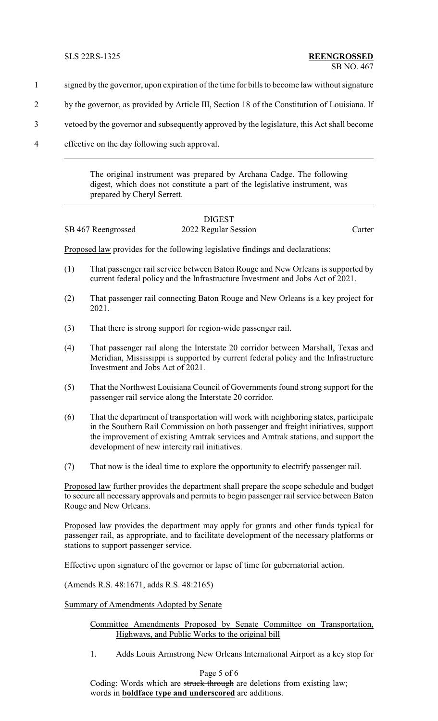- 1 signed by the governor, upon expiration of the time for bills to become law without signature
- 2 by the governor, as provided by Article III, Section 18 of the Constitution of Louisiana. If
- 3 vetoed by the governor and subsequently approved by the legislature, this Act shall become
- 4 effective on the day following such approval.

The original instrument was prepared by Archana Cadge. The following digest, which does not constitute a part of the legislative instrument, was prepared by Cheryl Serrett.

|                    | <b>DIGEST</b>        |        |
|--------------------|----------------------|--------|
| SB 467 Reengrossed | 2022 Regular Session | Carter |

Proposed law provides for the following legislative findings and declarations:

- (1) That passenger rail service between Baton Rouge and New Orleans is supported by current federal policy and the Infrastructure Investment and Jobs Act of 2021.
- (2) That passenger rail connecting Baton Rouge and New Orleans is a key project for 2021.
- (3) That there is strong support for region-wide passenger rail.
- (4) That passenger rail along the Interstate 20 corridor between Marshall, Texas and Meridian, Mississippi is supported by current federal policy and the Infrastructure Investment and Jobs Act of 2021.
- (5) That the Northwest Louisiana Council of Governments found strong support for the passenger rail service along the Interstate 20 corridor.
- (6) That the department of transportation will work with neighboring states, participate in the Southern Rail Commission on both passenger and freight initiatives, support the improvement of existing Amtrak services and Amtrak stations, and support the development of new intercity rail initiatives.
- (7) That now is the ideal time to explore the opportunity to electrify passenger rail.

Proposed law further provides the department shall prepare the scope schedule and budget to secure all necessary approvals and permits to begin passenger rail service between Baton Rouge and New Orleans.

Proposed law provides the department may apply for grants and other funds typical for passenger rail, as appropriate, and to facilitate development of the necessary platforms or stations to support passenger service.

Effective upon signature of the governor or lapse of time for gubernatorial action.

(Amends R.S. 48:1671, adds R.S. 48:2165)

Summary of Amendments Adopted by Senate

## Committee Amendments Proposed by Senate Committee on Transportation, Highways, and Public Works to the original bill

1. Adds Louis Armstrong New Orleans International Airport as a key stop for

Page 5 of 6

Coding: Words which are struck through are deletions from existing law; words in **boldface type and underscored** are additions.